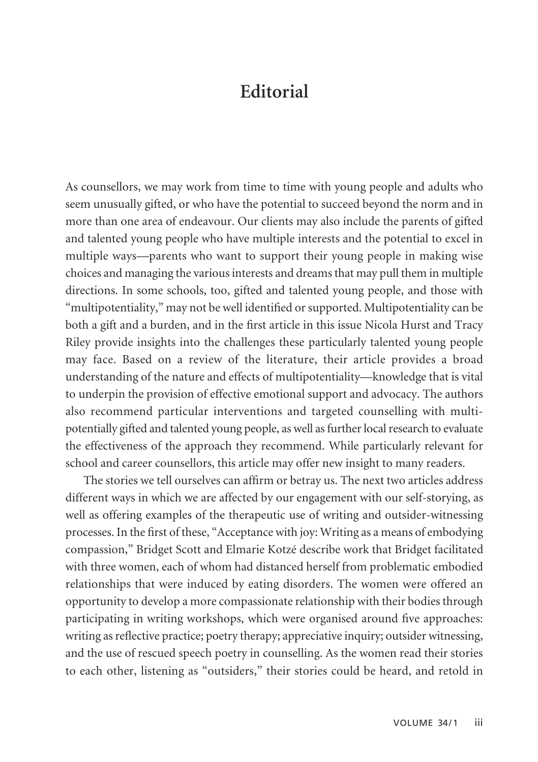## **Editorial**

As counsellors, we may work from time to time with young people and adults who seem unusually gifted, or who have the potential to succeed beyond the norm and in more than one area of endeavour. Our clients may also include the parents of gifted and talented young people who have multiple interests and the potential to excel in multiple ways—parents who want to support their young people in making wise choices and managing the various interests and dreams that may pull them in multiple directions. In some schools, too, gifted and talented young people, and those with "multipotentiality," may not be well identified or supported. Multipotentiality can be both a gift and a burden, and in the first article in this issue Nicola Hurst and Tracy Riley provide insights into the challenges these particularly talented young people may face. Based on a review of the literature, their article provides a broad understanding of the nature and effects of multipotentiality—knowledge that is vital to underpin the provision of effective emotional support and advocacy. The authors also recommend particular interventions and targeted counselling with multipotentially gifted and talented young people, as well as further local research to evaluate the effectiveness of the approach they recommend. While particularly relevant for school and career counsellors, this article may offer new insight to many readers.

The stories we tell ourselves can affirm or betray us. The next two articles address different ways in which we are affected by our engagement with our self-storying, as well as offering examples of the therapeutic use of writing and outsider-witnessing processes. In the first of these, "Acceptance with joy: Writing as a means of embodying compassion," Bridget Scott and Elmarie Kotzé describe work that Bridget facilitated with three women, each of whom had distanced herself from problematic embodied relationships that were induced by eating disorders. The women were offered an opportunity to develop a more compassionate relationship with their bodies through participating in writing workshops, which were organised around five approaches: writing as reflective practice; poetry therapy; appreciative inquiry; outsider witnessing, and the use of rescued speech poetry in counselling. As the women read their stories to each other, listening as "outsiders," their stories could be heard, and retold in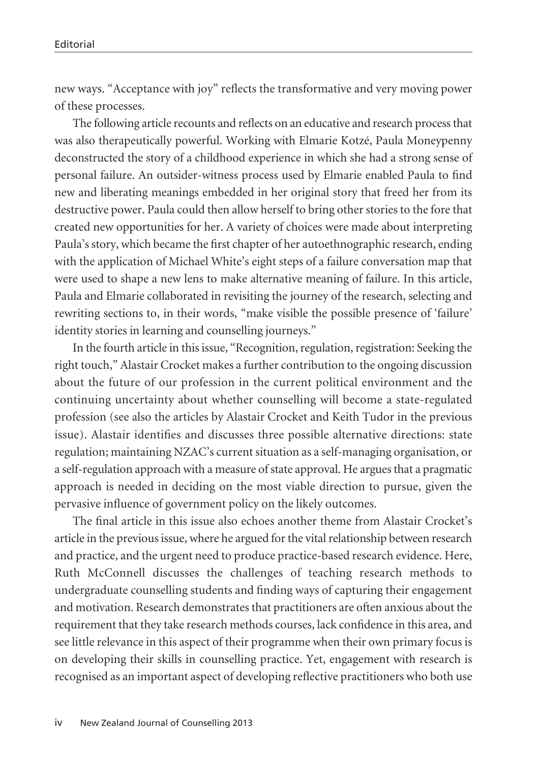new ways. "Acceptance with joy" reflects the transformative and very moving power of these processes.

The following article recounts and reflects on an educative and research process that was also therapeutically powerful. Working with Elmarie Kotzé, Paula Moneypenny deconstructed the story of a childhood experience in which she had a strong sense of personal failure. An outsider-witness process used by Elmarie enabled Paula to find new and liberating meanings embedded in her original story that freed her from its destructive power. Paula could then allow herself to bring other stories to the fore that created new opportunities for her. A variety of choices were made about interpreting Paula's story, which became the first chapter of her autoethnographic research, ending with the application of Michael White's eight steps of a failure conversation map that were used to shape a new lens to make alternative meaning of failure. In this article, Paula and Elmarie collaborated in revisiting the journey of the research, selecting and rewriting sections to, in their words, "make visible the possible presence of 'failure' identity stories in learning and counselling journeys."

In the fourth article in this issue, "Recognition, regulation, registration: Seeking the right touch," Alastair Crocket makes a further contribution to the ongoing discussion about the future of our profession in the current political environment and the continuing uncertainty about whether counselling will become a state-regulated profession (see also the articles by Alastair Crocket and Keith Tudor in the previous issue). Alastair identifies and discusses three possible alternative directions: state regulation; maintaining NZAC's current situation as a self-managing organisation, or a self-regulation approach with a measure of state approval. He argues that a pragmatic approach is needed in deciding on the most viable direction to pursue, given the pervasive influence of government policy on the likely outcomes.

The final article in this issue also echoes another theme from Alastair Crocket's article in the previous issue, where he argued for the vital relationship between research and practice, and the urgent need to produce practice-based research evidence. Here, Ruth McConnell discusses the challenges of teaching research methods to undergraduate counselling students and finding ways of capturing their engagement and motivation. Research demonstrates that practitioners are often anxious about the requirement that they take research methods courses, lack confidence in this area, and see little relevance in this aspect of their programme when their own primary focus is on developing their skills in counselling practice. Yet, engagement with research is recognised as an important aspect of developing reflective practitioners who both use